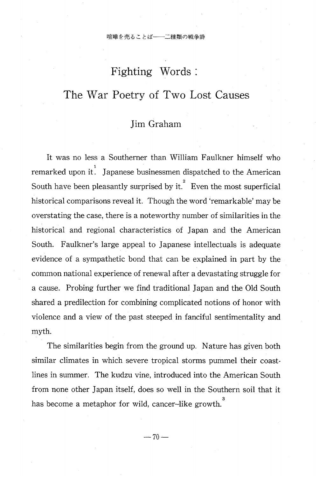# Fighting Words

# The War Poetry of Two Lost Causes

# Jim Graham

It was no less a Southerner than William Faulkner himself who remarked upon it. Japanese businessmen dispatched to the American South have been pleasantly surprised by it. Even the most superficial historical comparisons reveal it. Though the word 'remarkable' may be overstating the case, there is a noteworthy number of similarities in the historical and regional characteristics of Japan and the American South. Faulkner's large appeal to Japanese intellectuals is adequate evidence of a sympathetic bond that can be explained in part by the common national experience of renewal after a devastating struggle for a cause. Probing further we find traditional Japan and the Old South shared a predilection for combining complicated notions of honor with violence and a view of the past steeped in fanciful sentimentality and myth.

 The similarities begin from the ground up. Nature has given both similar climates in which severe tropical storms pummel their coastlines in summer. The kudzu vine, introduced into the American South from none other Japan itself, does so well in the Southern soil that it has become a metaphor for wild, cancer-like growth.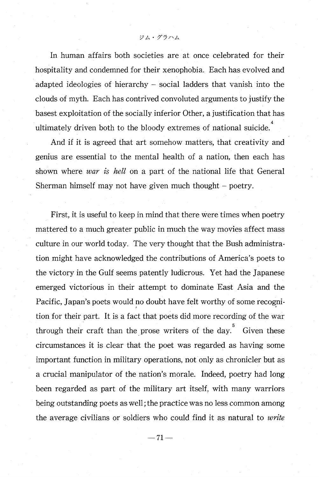In human affairs both societies are at once celebrated for their hospitality and condemned for their xenophobia. Each has evolved and adapted ideologies of hierarchy — social ladders that vanish into the clouds of myth. Each has contrived convoluted arguments to justify the basest exploitation of the socially inferior Other, a justification that has ultimately driven both to the bloody extremes of national suicide.<sup>4</sup>

And if it is agreed that art somehow matters, that creativity and genius are essential to the mental health of a nation, then each has shown where *war is hell* on a part of the national life that General Sherman himself may not have given much thought — poetry.

First, it is useful to keep in mind that there were times when poetry mattered to a much greater public in much the way movies affect mass culture in our world today. The very thought that the Bush administration might have acknowledged the contributions of America's poets to the victory in the Gulf seems patently ludicrous. Yet had the Japanese emerged victorious in their attempt to dominate East Asia and the Pacific, Japan's poets would no doubt have felt worthy of some recognition for their part. It is a fact that poets did more recording of the war through their craft than the prose writers of the day.<sup>5</sup> Given these circumstances it is clear that the poet was regarded as having some important function in military operations, not only as chronicler but as a crucial manipulator of the nation's morale. Indeed, poetry had long been regarded as part of the military art itself, with many warriors being outstanding poets as well; the practice was no less common among the average civilians or soldiers who could find it as natural to write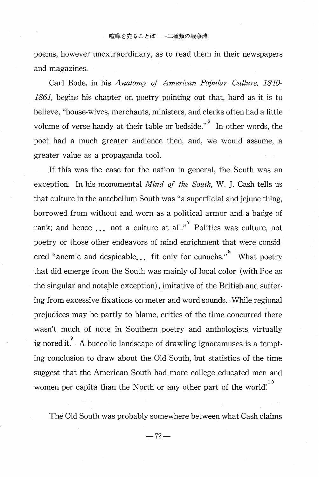poems, however unextraordinary, as to read them in their newspapers and magazines.

 Carl Bode, in his Anatomy of American Popular Culture, 1840- 1861, begins his chapter on poetry pointing out that, hard as it is to believe, "house-wives, merchants, ministers, and clerks often had a little volume of verse handy at their table or bedside." $\degree$  In other words, the poet had a much greater audience then, and, we would assume, a greater value as a propaganda tool.

If this was the case for the nation in general, the South was an exception. In his monumental Mind of the South, W. J. Cash tells us that culture in the antebellum South was "a superficial and jejune thing, borrowed from without and worn as a political armor and a badge of rank; and hence  $\ldots$  not a culture at all." Politics was culture, not poetry or those other endeavors of mind enrichment that were consid ered "anemic and despicable... fit only for eunuchs." What poetry that did emerge from the South was mainly of local color (with Poe as the singular and notable exception) , imitative of the British and suffering from excessive fixations on meter and word sounds. While regional prejudices may be partly to blame, critics of the time concurred there wasn't much of note in Southern poetry and anthologists virtually ig-nored it. A buccolic landscape of drawling ignoramuses is a tempting conclusion to draw about the Old South, but statistics of the time suggest that the American South had more college educated men and women per capita than the North or any other part of the world!

The Old South was probably somewhere between what Cash claims

 $-72-$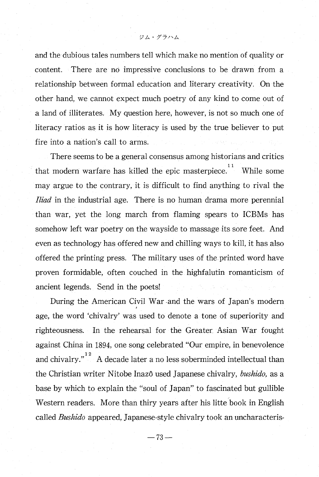and the dubious tales numbers tell which make no mention of quality or content. There are no impressive conclusions to be drawn from a relationship between formal education and literary creativity. On the other hand, we cannot expect much poetry of any kind to come out of a land of illiterates. My question here, however, is not so much one of literacy ratios as it is how literacy is used by the true believer to put fire into a nation's call to arms.

There seems to be a general consensus among historians and critics that modern warfare has killed the epic masterpiece.<sup>11</sup> While some may argue to the contrary, it is difficult to find anything to rival the *Iliad* in the industrial age. There is no human drama more perennial than war, yet the long march from flaming spears to ICBMs has somehow left war poetry on the wayside to massage its sore feet. And even as technology has offered new and chilling ways to kill, it has also offered the printing press. The military uses of the printed word have proven formidable, often couched in the highfalutin romanticism of ancient legends. Send in the poets!

During the American Civil War -and the wars of Japan's modern age, the word 'chivalry' was used to denote a tone of superiority and righteousness. In the rehearsal for the Greater Asian War fought against China in 1894, one song celebrated "Our empire, in benevolence and chivalry." $\frac{12}{12}$  A decade later a no less soberminded intellectual than the Christian writer Nitobe Inazô used Japanese chivalry, *bushido*, as a base by which to explain the "soul of Japan" to fascinated but gullible Western readers. More than thiry years after his litte book in English called Bushido appeared, Japanese-style chivalry took an uncharacteris-

 $- 73 -$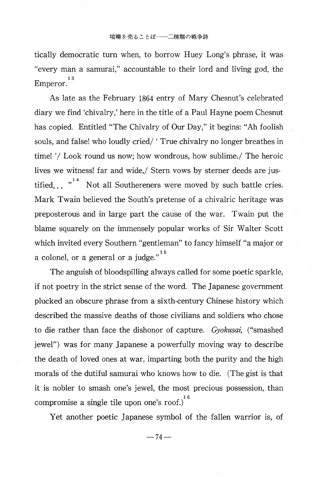tically democratic turn when, to borrow Huey Long's phrase, it was "every man a samurai ," accountable to their lord and living god, the Emperor.<sup>1</sup>

 As late as the February 1864 entry of Mary Chesnut's celebrated diary we find 'chivalry,' here in the title of a Paul Hayne poem Chesnut has copied. Entitled "The Chivalry of Our Day," it begins: "Ah foolish souls, and false! who loudly cried/ 'True chivalry no longer breathes in time! '/ Look round us now; how wondrous, how sublime./ The heroic lives we witness! far and wide,/ Stern vows by sterner deeds are jus tified...  $n^{14}$  Not all Southereners were moved by such battle cries. Mark Twain believed the South's pretense of a chivalric heritage was preposterous and in large part the cause of the war. Twain put the blame squarely on the immensely popular works of Sir Walter Scott which invited every Southern "gentleman" to fancy himself "a major or a colonel, or a general or a judge." $1$ 

The anguish of bloodspilling always called for some poetic sparkle, if not poetry in the strict sense of the word. The Japanese government plucked an obscure phrase from a sixth-century Chinese history which described the massive deaths of those civilians and soldiers who chose to die rather than face the dishonor of capture. Gyokusai, ("smashed jewel") was for many Japanese a powerfully moving way to describe the death of loved ones at war, imparting both the purity and the high morals of the dutiful samurai who knows how to die. (The gist is that it is nobler to smash one's jewel, the most precious possession, than compromise a single tile upon one's roof.)  $\overline{ }$ 

Yet another poetic Japanese symbol of the fallen warrior is, of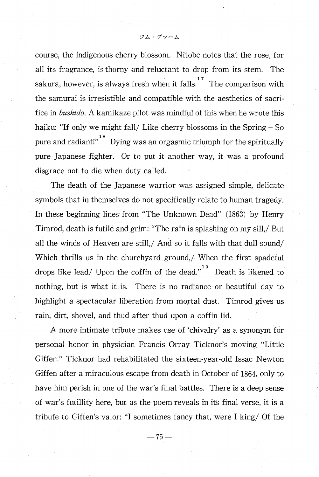course, the indigenous cherry blossom. Nitobe notes that the rose, for all its fragrance, is thorny and reluctant to drop from its stem. The sakura, however, is always fresh when it falls.<sup>17</sup> The comparison with the samurai is irresistible and compatible with the aesthetics of sacrifice in bushido. A kamikaze pilot was mindful of this when he wrote this haiku: "If only we might fall/ Like cherry blossoms in the Spring — So pure and radiant!"  $^{18}$  Dying was an orgasmic triumph for the spirituall pure Japanese fighter. Or to put it another way, it was a profound disgrace not to die when duty called.

The death of the Japanese warrior was assigned simple, delicate symbols that in themselves do not specifically relate to human tragedy. In these beginning lines from "The Unknown Dead" (1863) by Henry Timrod, death is futile and grim: "The rain is splashing on my sill,/ But all the winds of Heaven are still,/ And so it falls with that dull sound/ Which thrills us in the churchyard ground,/ When the first spadeful drops like lead/ Upon the coffin of the dead." Death is likened to nothing, but is what it is. There is no radiance or beautiful day to highlight a spectacular liberation from mortal dust. Timrod gives us rain, dirt, shovel, and thud after thud upon a coffin lid.

A more intimate tribute makes use of 'chivalry' as a synonym for personal honor in physician Francis Orray Ticknor's moving "Little Giffen." Ticknor had rehabilitated the sixteen-year-old Issac Newton Giffen after a miraculous escape from death in October of 1864, only to have him perish in one of the war's final battles. There is a deep sense of war's futillity here, but as the poem reveals in its final verse, it is a tribute to Giffen's valor: "I sometimes fancy that, were I king/ Of the

 $-75-$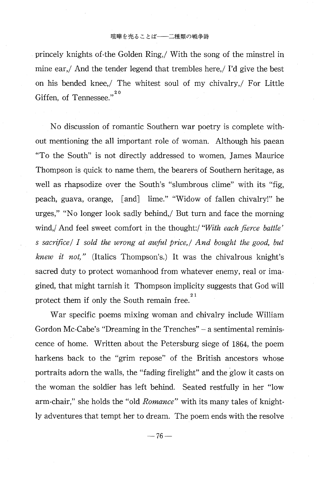#### 喧嘩を売ることば–––二種類の戦争詩

princely knights of-the Golden Ring,/ With the song of the minstrel in mine ear,/ And the tender legend that trembles here,/ I'd give the best on his bended knee,/ The whitest soul of my chivalry,/ For Little Giffen, of Tennessee."<sup>2</sup>

 No discussion of romantic Southern war poetry is complete without mentioning the all important role of woman. Although his paean "To the South" is not directly addressed to women , James Maurice Thompson is quick to name them, the bearers of Southern heritage, as well as rhapsodize over the South's "slumbrous clime" with its "fig, peach, guava, orange, [and] lime." "Widow of fallen chivalry!" he urges," "No longer look sadly behind,/ But turn and face the morning wind,/ And feel sweet comfort in the thought:/ "With each fierce battle' s sacrifice/ I sold the wrong at awful price, And bought the good, but *knew it not,*" (Italics Thompson's.) It was the chivalrous knight's sacred duty to protect womanhood from whatever enemy, real or imagined, that might tarnish it Thompson implicity suggests that God will protect them if only the South remain free.<sup>2</sup>

War specific poems mixing woman and chivalry include William Gordon Mc-Cabe's "Dreaming in the Trenches" — a sentimental reminiscence of home. Written about the Petersburg siege of 1864, the poem harkens back to the "grim repose" of the British ancestors whose portraits adorn the walls, the "fading firelight" and the glow it casts on the woman the soldier has left behind. Seated restfully in her "low arm-chair," she holds the "old Romance" with its many tales of knightly adventures that tempt her to dream. The poem ends with the resolve

 $-76-$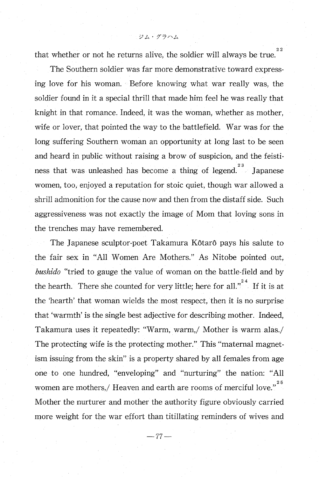that whether or not he returns alive, the soldier will always be true.

The Southern soldier was far more demonstrative toward expressing love for his woman. Before knowing what war really was, the soldier found in it a special thrill that made him feel he was really that knight in that romance. Indeed, it was the woman, whether as mother, wife or lover, that pointed the way to the battlefield. War was for the long suffering Southern woman an opportunity at long last to be seen and heard in public without raising a brow of suspicion, and the feisti ness that was unleashed has become a thing of legend.<sup>23</sup> Japanes women, too, enjoyed a reputation for stoic quiet, though war allowed a shrill admonition for the cause now and then from the distaff side. Such aggressiveness was not exactly the image of Mom that loving sons in the trenches may have remembered.

The Japanese sculptor-poet Takamura Kôtarô pays his salute to the fair sex in "All Women Are Mothers." As Nitobe pointed out, bushido "tried to gauge the value of woman on the battle-field and by the hearth. There she counted for very little; here for all." If it is at the 'hearth' that woman wields the most respect, then it is no surprise that 'warmth' is the single best adjective for describing mother. Indeed, Takamura uses it repeatedly: "Warm, warm,/ Mother is warm alas./ The protecting wife is the protecting mother." This "maternal magnetism issuing from the skin" is a property shared by all females from age one to one hundred, "enveloping" and "nurturing" the nation: "All women are mothers,/ Heaven and earth are rooms of merciful love." $2$ Mother the nurturer and mother the authority figure obviously carried more weight for the war effort than titillating reminders of wives and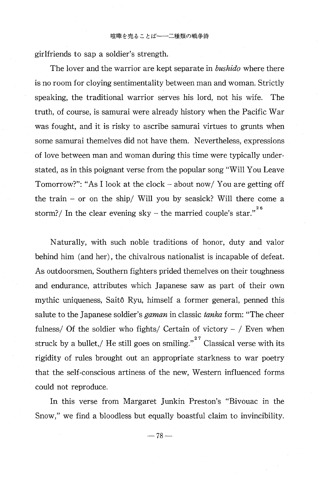girlfriends to sap a soldier's strength.

The lover and the warrior are kept separate in *bushido* where there is no room for cloying sentimentality between man and woman. Strictly speaking, the traditional warrior serves his lord, not his wife. The truth, of course, is samurai were already history when the Pacific War was fought, and it is risky to ascribe samurai virtues to grunts when some samurai themelves did not have them. Nevertheless, expressions of love between man and woman during this time were typically understated, as in this poignant verse from the popular song "Will You Leave Tomorrow?": "As I look at the clock — about now/ You are getting off the train — or on the ship/ Will you by seasick? Will there come a storm?/ In the clear evening sky – the married couple's star."

Naturally, with such noble traditions of honor, duty and valor behind him (and her), the chivalrous nationalist is incapable of defeat. As outdoorsmen, Southern fighters prided themelves on their toughness and endurance, attributes which Japanese saw as part of their own mythic uniqueness, Saitô Ryu, himself a former general, penned this salute to the Japanese soldier's *gaman* in classic *tanka* form: "The cheer fulness/ Of the soldier who fights/ Certain of victory  $-$  / Even when struck by a bullet,/ He still goes on smiling."  $\overline{2}$  Classical verse with its rigidity of rules brought out an appropriate starkness to war poetry that the self-conscious artiness of the new, Western influenced forms could not reproduce.

 In this verse from Margaret Junkin Preston's "Bivouac in the Snow," we find a bloodless but equally boastful claim to invincibility.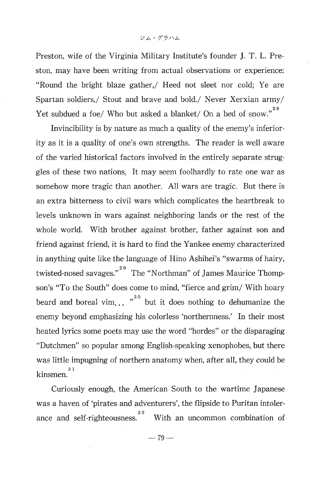Preston, wife of the Virginia Military Institute's founder J. T. L. Preston, may have been writing from actual observations or experience: "Round the bright blaze gather ,/ Heed not sleet nor cold; Ye are Spartan soldiers,/ Stout and brave and bold./ Never Xerxian army/ Yet subdued a foe/ Who but asked a blanket/ On a bed of snow."

Invincibility is by nature as much a quality of the enemy's inferiority as it is a quality of one's own strengths. The reader is well aware of the varied historical factors involved in the entirely separate struggles of these two nations, It may seem foolhardly to rate one war as somehow more tragic than another. All wars are tragic. But there is an extra bitterness to civil wars which complicates the heartbreak to levels unknown in wars against neighboring lands or the rest of the whole world. With brother against brother, father against son and friend against friend, it is hard to find the Yankee enemy characterized in anything quite like the language of Hino Ashihei's "swarms of hairy, twisted-nosed savages."<sup>29</sup> The "Northman" of James Maurice Thomp son's "To the South" does come to mind, "fierce and grim/ With hoary beard and boreal vim... "<sup>30</sup> but it does nothing to dehumanize the enemy beyond emphasizing his colorless `northernness.' In their most heated lyrics some poets may use the word "hordes" or the disparaging "Dutchmen" so popular among English -speaking xenophobes , but there was little impugning of northern anatomy when, after all, they could be kinsmen.<sup>3</sup>

 Curiously enough, the American South to the wartime Japanese was a haven of 'pirates and adventurers', the flipside to Puritan intoler ance and self-righteousness.<sup>32</sup> With an uncommon combination of

 $-79-$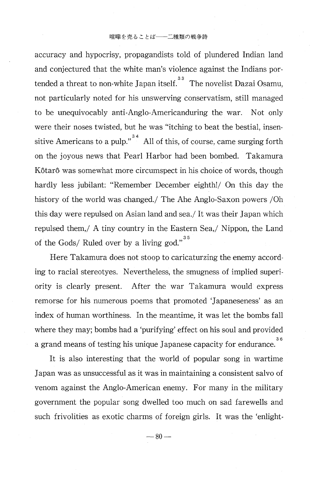accuracy and hypocrisy, propagandists told of plundered Indian land and conjectured that the white man's violence against the Indians por tended a threat to non-white Japan itself. <sup>33</sup> The novelist Dazai Osamu not particularly noted for his unswerving conservatism, still managed to be unequivocably anti-Anglo-Americanduring the war. Not only were their noses twisted, but he was "itching to beat the bestial, insen sitive Americans to a pulp."<sup>34</sup> All of this, of course, came surging forth on the joyous news that Pearl Harbor had been bombed. Takamura Kôtarô was somewhat more circumspect in his choice of words, though hardly less jubilant: "Remember December eighth!/ On this day the history of the world was changed./ The Ahe Anglo-Saxon powers /Oh this day were repulsed on Asian land and sea./ It was their Japan which repulsed them,/ A tiny country in the Eastern Sea,/ Nippon, the Land of the Gods/ Ruled over by a living god."<sup>3</sup>

Here Takamura does not stoop to caricaturzing the enemy according to racial stereotyes. Nevertheless, the smugness of implied superiority is clearly present. After the war Takamura would express remorse for his numerous poems that promoted Japaneseness' as an index of human worthiness. In the meantime, it was let the bombs fall where they may; bombs had a 'purifying' effect on his soul and provided a grand means of testing his unique Japanese capacity for endurance.<sup>3</sup>

It is also interesting that the world of popular song in wartime Japan was as unsuccessful as it was in maintaining a consistent salvo of venom against the Anglo-American enemy. For many in the military government the popular song dwelled too much on sad farewells and such frivolities as exotic charms of foreign girls. It was the 'enlight-

 $- 80 -$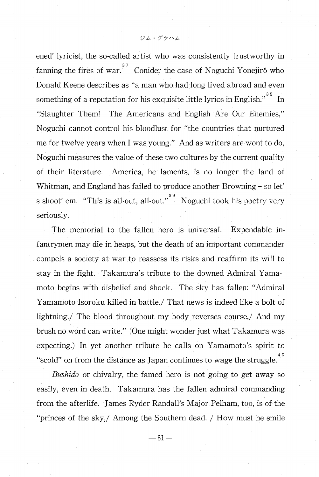ened' lyricist, the so-called artist who was consistently trustworthy in fanning the fires of war.  $37^{\circ}$  Conider the case of Noguchi Yonejirô who Donald Keene describes as "a man who had long lived abroad and even something of a reputation for his exquisite little lyrics in English."<sup>38</sup> In "Slaughter Them! The Americans and English Are Our Enemies ," Noguchi cannot control his bloodlust for "the countries that nurtured me for twelve years when I was young." And as writers are wont to do, Noguchi measures the value of these two cultures by the current quality of their literature. America, he laments, is no longer the land of Whitman, and England has failed to produce another Browning — so let' s shoot' em. "This is all-out, all-out."<sup>39</sup>. Noguchi took his poetry very seriously.

 The memorial to the fallen hero is universal. Expendable infantrymen may die in heaps, but the death of an important commander compels a society at war to reassess its risks and reaffirm its will to stay in the fight. Takamura's tribute to the downed Admiral Yamamoto begins with disbelief and shock. The sky has fallen: "Admiral Yamamoto Isoroku killed in battle./ That news is indeed like a bolt of lightning./ The blood throughout my body reverses course,/ And my brush no word can write." (One might wonder just what Takamura was expecting.) In yet another tribute he calls on Yamamoto's spirit to "scold" on from the distance as Japan continues to wage the struggle.<sup>4</sup>

Bushido or chivalry, the famed hero is not going to get away so easily, even in death. Takamura has the fallen admiral commanding from the afterlife. James Ryder Randall's Major Pelham, too, is of the "princes of the sky,/ Among the Southern dead. / How must he smile

 $-81-$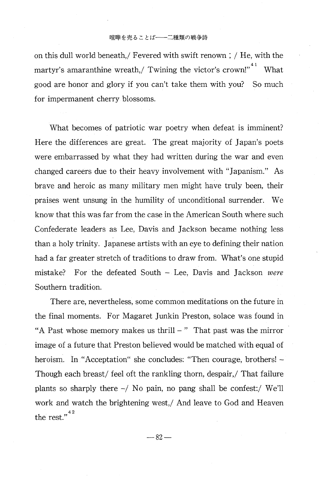#### 喧嘩を売ることば -- 二種類の戦争詩

on this dull world beneath,/ Fevered with swift renown ; / He, with the martyr's amaranthine wreath,/ Twining the victor's crown!"<sup>41</sup> What good are honor and glory if you can't take them with you? So much for impermanent cherry blossoms.

What becomes of patriotic war poetry when defeat is imminent? Here the differences are great. The great majority of Japan's poets were embarrassed by what they had written during the war and even changed careers due to their heavy involvement with "Japanism." As brave and heroic as many military men might have truly been, their praises went unsung in the humility of unconditional surrender. We know that this was far from the case in the American South where such Confederate leaders as Lee, Davis and Jackson became nothing less than a holy trinity. Japanese artists with an eye to defining their nation had a far greater stretch of traditions to draw from. What's one stupid mistake? For the defeated South — Lee, Davis and Jackson were Southern tradition.

 There are, nevertheless, some common meditations on the future in the final moments. For Magaret Junkin Preston, solace was found in "A Past whose memory makes us thrill  $-$  " That past was the mirror image of a future that Preston believed would be matched with equal of heroism. In "Acceptation" she concludes: "Then courage, brothers! — Though each breast/ feel oft the rankling thorn, despair,/ That failure plants so sharply there  $-\prime$  No pain, no pang shall be confest: We'll work and watch the brightening west,/ And leave to God and Heaven the rest." $4$ 

 $-82-$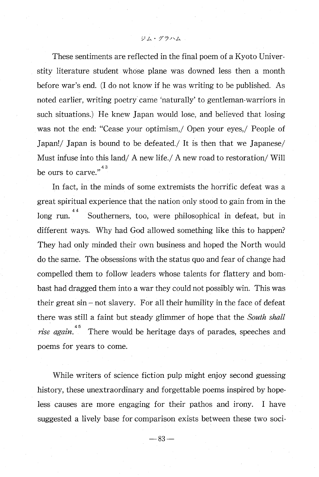These sentiments are reflected in the final poem of a Kyoto Universtity literature student whose plane was downed less then a month before war's end. (I do not know if he was writing to be published. As noted earlier, writing poetry came 'naturally' to gentleman-warriors in such situations.) He knew Japan would lose, and believed that losing was not the end: "Cease your optimism,/ Open your eyes,/ People of Japan!/ Japan is bound to be defeated./ It is then that we Japanese/ Must infuse into this land/ A new life./ A new road to restoration/ Will be ours to carve." $^{4}$ 

 In fact, in the minds of some extremists the horrific defeat was a great spiritual experience that the nation only stood to gain from in the  $long$  run.  $44$ Southerners, too, were philosophical in defeat, but in different ways. Why had God allowed something like this to happen? They had only minded their own business and hoped the North would do the same. The obsessions with the status quo and fear of change had compelled them to follow leaders whose talents for flattery and bombast had dragged them into a war they could not possibly win. This was their great sin — not slavery. For all their humility in the face of defeat there was still a faint but steady glimmer of hope that the South shall *rise again*. <sup>45</sup> There would be heritage days of parades, speeches and poems for years to come.

While writers of science fiction pulp might enjoy second guessing history, these unextraordinary and forgettable poems inspired by hopeless causes are more engaging for their pathos and irony. I have suggested a lively base for comparison exists between these two soci-

 $- 83 -$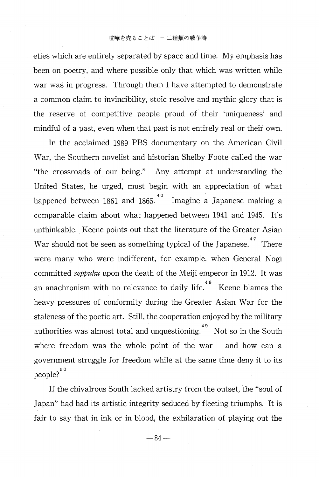### 暗嘩を売ることば–––二種類の戦争詩

eties which are entirely separated by space and time. My emphasis has been on poetry, and where possible only that which was written while war was in progress. Through them I have attempted to demonstrate a common claim to invincibility, stoic resolve and mythic glory that is the reserve of competitive people proud of their 'uniqueness' and mindful of a past, even when that past is not entirely real or their own.

In the acclaimed 1989 PBS documentary on the American Civil War, the Southern novelist and historian Shelby Foote called the war "the crossroads of our being." Any attempt at understanding the United States, he urged, must begin with an appreciation of what happened between 1861 and 1865. <sup>46</sup> Imagine a Japanese making a comparable claim about what happened between 1941 and 1945. It's unthinkable. Keene points out that the literature of the Greater Asian War should not be seen as something typical of the Japanese.<sup>47</sup> There were many who were indifferent, for example, when General Nogi committed *seppuku* upon the death of the Meiji emperor in 1912. It was an anachronism with no relevance to daily life.<sup>48</sup> Keene blames the heavy pressures of conformity during the Greater Asian War for the staleness of the poetic art. Still, the cooperation enjoyed by the military authorities was almost total and unquestioning.<sup>49</sup> Not so in the Sout. where freedom was the whole point of the war  $-$  and how can a government struggle for freedom while at the same time deny it to its people?<sup>5</sup>

 If the chivalrous South lacked artistry from the outset, the "soul of Japan" had had its artistic integrity seduced by fleeting triumphs. It is fair to say that in ink or in blood, the exhilaration of playing out the

 $-84-$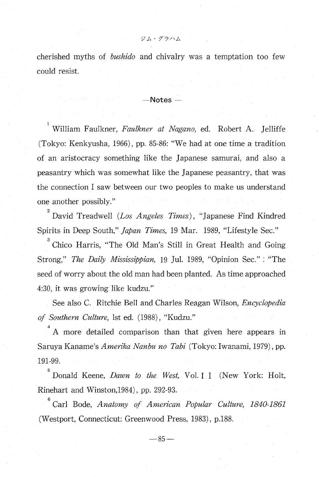cherished myths of bushido and chivalry was a temptation too few could resist.

 $\mathcal{Y} \mathcal{L} \cdot \mathcal{I} \bar{\mathcal{I}} \cap \mathcal{L}$ 

## —Notes —

 $1$  William Faulkner, Faulkner at Nagano, ed. Robert A. Jelliffe (Tokyo: Kenkyusha, 1966), pp. 85-86: "We had at one time a tradition of an aristocracy something like the Japanese samurai, and also a peasantry which was somewhat like the Japanese peasantry, that was the connection I saw between our two peoples to make us understand one another possibly."

 $2^{2}$  David Treadwell (Los Angeles Times), "Japanese Find Kindred Spirits in Deep South," Japan Times, 19 Mar. 1989, "Lifestyle Sec."

 Chico Harris, "The Old Man's Still in Great Health and Going Strong," The Daily Mississippian, 19 Jul. 1989, "Opinion Sec." : "The seed of worry about the old man had been planted. As time approached 4:30, it was growing like kudzu."

See also C. Ritchie Bell and Charles Reagan Wilson, Encyclopedia of Southern Culture, 1st ed. (1988) , "Kudzu."

4 A more detailed comparison than that given here appears in Saruya Kaname's *Amerika Nanbu no Tabi* (Tokyo: Iwanami, 1979), pp. 191-99.<br>
<sup>5</sup> Donald Keene, *Dawn to the West*, Vol. I I (New York: Holt, Rinehart and Winsto Saruya Kaname's *Amerika Nanbu no Tabi* (Tokyo: Iwanami, 1979), pp. 191-99.

Rinehart and Winston,1984), pp. 292-93.

Donald Keene, *Dawn to the West*, Vol. I I (New York: Holt,<br>
Rinehart and Winston,1984), pp. 292-93.<br>
<sup>6</sup> Carl Bode, *Anatomy of American Popular Culture*, 1840-1861<br>
(Westport, Connecticut: Greenwood Press, 1983), p.188.<br> Carl Bode, Anatomy of American Popular Culture, 1840-186.<br>
(Westport, Connecticut: Greenwood Press, 1983), p.188.<br>
-85 -(Westport, Connecticut: Greenwood Press, 1983), p.188.

 $-85-$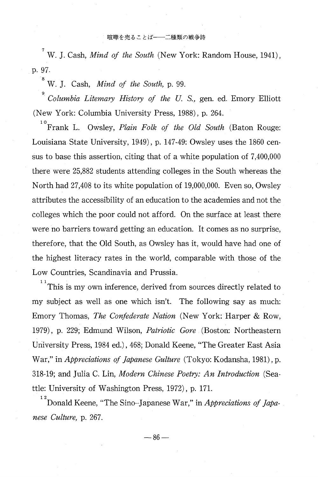<sup>7</sup> W. J. Cash, *Mind of the South* (New York: Random House, 1941), p. 97.

 $8^8$  W. J. Cash, *Mind of the South*, p. 99.

 Columbia Litemary History of the U. S., gen. ed. Emory Elliott (New York: Columbia University Press, 1988) , p. 264.

 $^{10}$  Frank L. Owsley, *Plain Folk of the Old South* (Baton Rouge: Louisiana State University, 1949) , p. 147-49: Owsley uses the 1860 census to base this assertion, citing that of a white population of 7,400,000 there were 25,882 students attending colleges in the South whereas the North had 27,408 to its white population of 19,000,000. Even so, Owsley attributes the accessibility of an education to the academies and not the colleges which the poor could not afford. On the surface at least there were no barriers toward getting an education. It comes as no surprise, therefore, that the Old South, as Owsley has it, would have had one of the highest literacy rates in the world, comparable with those of the Low Countries, Scandinavia and Prussia.

 $11$ <sup>1</sup>This is my own inference, derived from sources directly related to my subject as well as one which isn't. The following say as much: Emory Thomas, The Confederate Nation (New York: Harper & Row, 1979) , p. 229; Edmund Wilson, Patriotic Gore (Boston: Northeastern University Press, 1984 ed.) , 468; Donald Keene, "The Greater East Asia War," in *Appreciations of Japanese Gulture* (Tokyo: Kodansha, 1981), p. 318-19; and Julia C. Lin, Modern Chinese Poetry: An Introduction (Seattle: University of Washington Press, 1972) , p. 171.

 12 Donald Keene, "The Sino–Japanese War," in Appreciations of Japanese Culture, p. 267.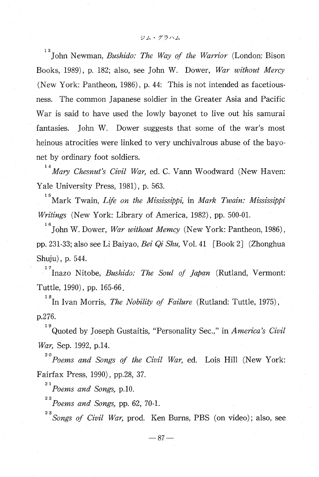13 John Newman, Bushido: The Way of the Warrior (London: Bison Books, 1989), p. 182; also, see John W. Dower, War without Mercy (New York: Pantheon, 1986) , p. 44: This is not intended as facetiousness. The common Japanese soldier in the Greater Asia and Pacific War is said to have used the lowly bayonet to live out his samurai fantasies. John W. Dower suggests that some of the war's most heinous atrocities were linked to very unchivalrous abuse of the bayonet by ordinary foot soldiers.

 $14$  Mary Chesnut's Civil War, ed. C. Vann Woodward (New Haven Yale University Press, 1981), p. 563.

 $\mathbf{1}$ Mark Twain, Life on the Mississippi, in Mark Twain: Mississippi Writings (New York: Library of America, 1982), pp. 500-01.

 $16$  John W. Dower, *War without Memcy* (New York: Pantheon, 1986), pp. 231-33; also see Li Baiyao, Bei Qi Shu, Vol. 41 [Book 2] (Zhonghua Shuju), p. 544.

 $17$  Inazo Nitobe, *Bushido: The Soul of Japan* (Rutland, Vermont Tuttle, 1990), pp. 165-66.

<sup>18</sup> In Ivan Morris, *The Nobility of Failure* (Rutland: Tuttle, 1975), p.276.

 19 Quoted by Joseph Gustaitis, "Personality Sec.," in America's Civil War, Sep. 1992, p.14.

 20 Poems and Songs of the Civil War, ed. Lois Hill (New York: Fairfax Press, 1990), pp.28, 37.

 $^{21}$ Poems and Songs, p.10.

 $\mathbf{2}$ 

 $^{22}$ Poems and Songs, pp. 62, 70-1.

Songs of Civil War, prod. Ken Burns, PBS (on video); also, see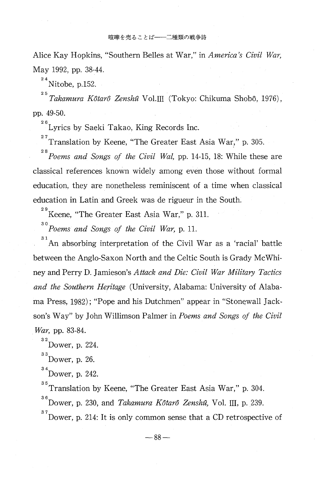Alice Kay Hopkins, "Southern Belles at War," in America's Civil War, May 1992, pp. 38-44.

<sup>24</sup> Nitobe, p.152

 25 Takamura Kôtarô Zenshû Vol.III (Tokyo: Chikuma Shobô, 1976), pp. 49-50.

<sup>26</sup> Lyrics by Saeki Takao, King Records Inc.

 $\frac{27}{10}$  Translation by Keene, "The Greater East Asia War," p. 305.

 28 Poems and Songs of the Civil Wal, pp. 14-15, 18: While these are classical references known widely among even those without formal education, they are nonetheless reminiscent of a time when classical education in Latin and Greek was de rigueur in the South.

<sup>29</sup> Keene, "The Greater East Asia War," p. 311.

 $30^3$  Poems and Songs of the Civil War, p. 11.

 31 An absorbing interpretation of the Civil War as a 'racial' battle between the Anglo-Saxon North and the Celtic South is Grady McWhiney and Perry D. Jamieson's Attack and Die: Civil War Military Tactics and the Southern Heritage (University, Alabama: University of Alabama Press, 1982); "Pope and his Dutchmen" appear in "Stonewall Jackson's Way" by John Willimson Palmer in Poems and Songs of the Civil War, pp. 83-84.

 $32$ <sup>32</sup>Dower, p. 224.

 $33$  Dower, p. 26.

 $34$ Dower, p. 242.

<sup>35</sup> Translation by Keene, "The Greater East Asia War," p. 304.

<sup>36</sup> Dower, p. 230, and *Takamura Kôtarô Zenshû*, Vol. III, p. 239.

 37 Dower, p. 214: It is only common sense that a CD retrospective of

 $-88-$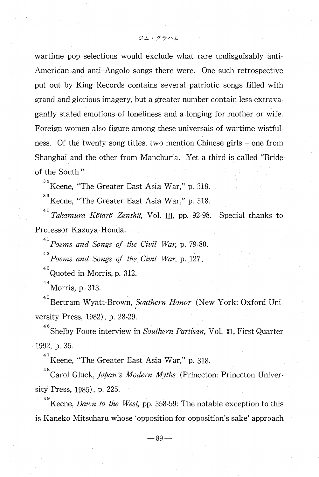wartime pop selections would exclude what rare undisguisably anti-American and anti—Angolo songs there were. One such retrospective put out by King Records contains several patriotic songs filled with

ジム・グラハム

grand and glorious imagery, but a greater number contain less extravagantly stated emotions of loneliness and a longing for mother or wife. Foreign women also figure among these universals of wartime wistfulness. Of the twenty song titles, two mention Chinese girls — one from Shanghai and the other from Manchuria. Yet a third is called "Bride of the South."

 38 Keene, "The Greater East Asia War," p. 318.

 39 Keene, "The Greater East Asia War," p. 318.

<sup>40</sup> Takamura Kôtarô Zenthû, Vol. III, pp. 92-98. Special thanks to Professor Kazuya Honda.

 $^{41}$  Poems and Songs of the Civil War, p. 79-80.

 $A^{42}$  Poems and Songs of the Civil War, p. 127.

<sup>43</sup> Quoted in Morris, p. 312.

 $^{44}$ Morris, p. 313.

<sup>45</sup> Bertram Wyatt-Brown, Southern Honor (New York: Oxford University Press, 1982), p. 28-29.

<sup>46</sup> Shelby Foote interview in Southern Partisan, Vol. XII, First Quarte 1992, p. 35.

 $^{47}$ Keene, "The Greater East Asia War," p. 318.

<sup>48</sup> Carol Gluck, *Japan's Modern Myths* (Princeton: Princeton Univer sity Press, 1985), p. 225.

<sup>49</sup> Keene, *Dawn to the West*, pp. 358-59: The notable exception to this is Kaneko Mitsuharu whose 'opposition for opposition's sake' approach